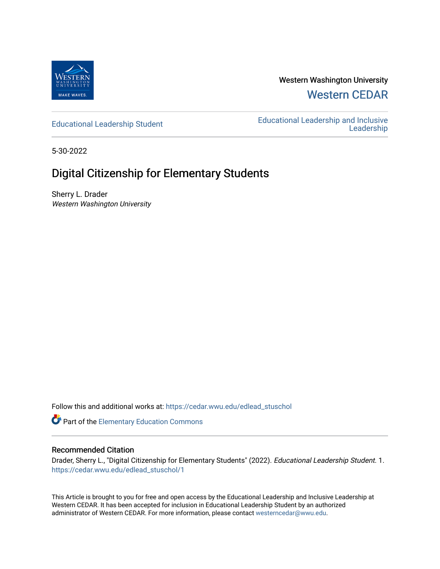

Western Washington University [Western CEDAR](https://cedar.wwu.edu/) 

[Educational Leadership Student](https://cedar.wwu.edu/edlead_stuschol) [Educational Leadership and Inclusive](https://cedar.wwu.edu/elil)  [Leadership](https://cedar.wwu.edu/elil) 

5-30-2022

# Digital Citizenship for Elementary Students

Sherry L. Drader Western Washington University

Follow this and additional works at: [https://cedar.wwu.edu/edlead\\_stuschol](https://cedar.wwu.edu/edlead_stuschol?utm_source=cedar.wwu.edu%2Fedlead_stuschol%2F1&utm_medium=PDF&utm_campaign=PDFCoverPages)

Part of the [Elementary Education Commons](https://network.bepress.com/hgg/discipline/1378?utm_source=cedar.wwu.edu%2Fedlead_stuschol%2F1&utm_medium=PDF&utm_campaign=PDFCoverPages) 

### Recommended Citation

Drader, Sherry L., "Digital Citizenship for Elementary Students" (2022). Educational Leadership Student. 1. [https://cedar.wwu.edu/edlead\\_stuschol/1](https://cedar.wwu.edu/edlead_stuschol/1?utm_source=cedar.wwu.edu%2Fedlead_stuschol%2F1&utm_medium=PDF&utm_campaign=PDFCoverPages) 

This Article is brought to you for free and open access by the Educational Leadership and Inclusive Leadership at Western CEDAR. It has been accepted for inclusion in Educational Leadership Student by an authorized administrator of Western CEDAR. For more information, please contact [westerncedar@wwu.edu](mailto:westerncedar@wwu.edu).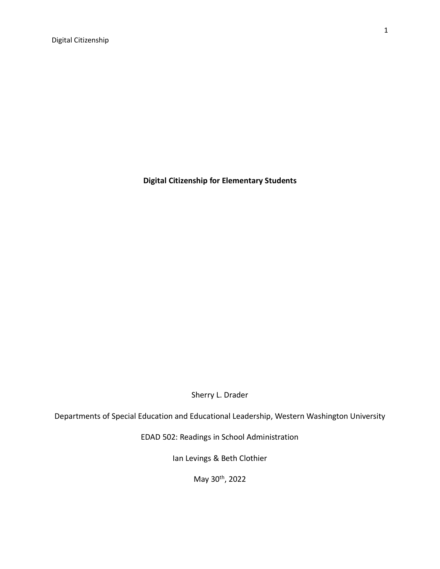**Digital Citizenship for Elementary Students**

Sherry L. Drader

Departments of Special Education and Educational Leadership, Western Washington University

EDAD 502: Readings in School Administration

Ian Levings & Beth Clothier

May 30<sup>th</sup>, 2022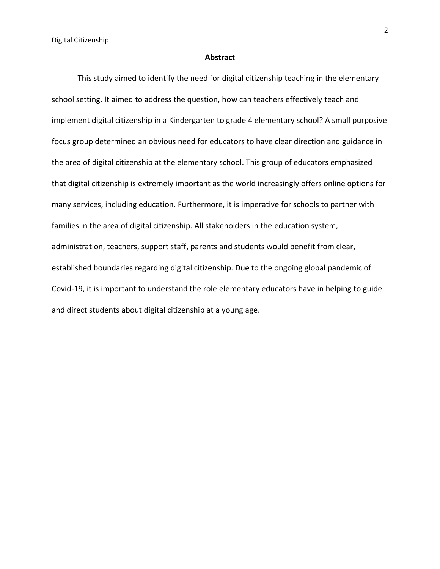#### **Abstract**

This study aimed to identify the need for digital citizenship teaching in the elementary school setting. It aimed to address the question, how can teachers effectively teach and implement digital citizenship in a Kindergarten to grade 4 elementary school? A small purposive focus group determined an obvious need for educators to have clear direction and guidance in the area of digital citizenship at the elementary school. This group of educators emphasized that digital citizenship is extremely important as the world increasingly offers online options for many services, including education. Furthermore, it is imperative for schools to partner with families in the area of digital citizenship. All stakeholders in the education system, administration, teachers, support staff, parents and students would benefit from clear, established boundaries regarding digital citizenship. Due to the ongoing global pandemic of Covid-19, it is important to understand the role elementary educators have in helping to guide and direct students about digital citizenship at a young age.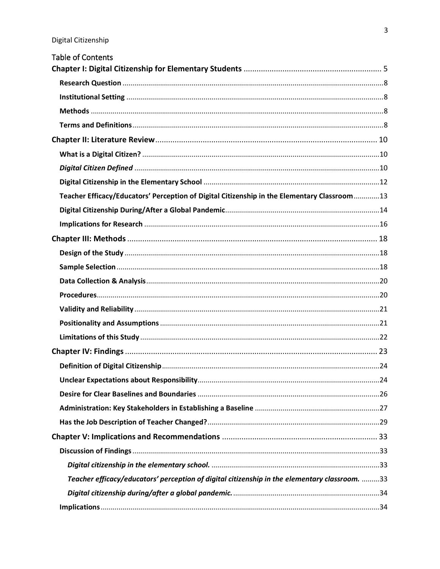| <b>Table of Contents</b>                                                                      |  |
|-----------------------------------------------------------------------------------------------|--|
|                                                                                               |  |
|                                                                                               |  |
|                                                                                               |  |
|                                                                                               |  |
|                                                                                               |  |
|                                                                                               |  |
|                                                                                               |  |
|                                                                                               |  |
|                                                                                               |  |
| Teacher Efficacy/Educators' Perception of Digital Citizenship in the Elementary Classroom13   |  |
|                                                                                               |  |
|                                                                                               |  |
|                                                                                               |  |
|                                                                                               |  |
|                                                                                               |  |
|                                                                                               |  |
|                                                                                               |  |
|                                                                                               |  |
|                                                                                               |  |
|                                                                                               |  |
|                                                                                               |  |
|                                                                                               |  |
|                                                                                               |  |
|                                                                                               |  |
|                                                                                               |  |
|                                                                                               |  |
|                                                                                               |  |
|                                                                                               |  |
|                                                                                               |  |
| Teacher efficacy/educators' perception of digital citizenship in the elementary classroom. 33 |  |
|                                                                                               |  |
|                                                                                               |  |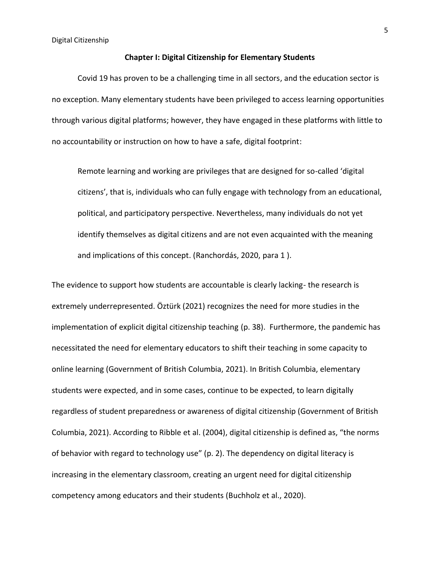#### **Chapter I: Digital Citizenship for Elementary Students**

Covid 19 has proven to be a challenging time in all sectors, and the education sector is no exception. Many elementary students have been privileged to access learning opportunities through various digital platforms; however, they have engaged in these platforms with little to no accountability or instruction on how to have a safe, digital footprint:

Remote learning and working are privileges that are designed for so-called 'digital citizens', that is, individuals who can fully engage with technology from an educational, political, and participatory perspective. Nevertheless, many individuals do not yet identify themselves as digital citizens and are not even acquainted with the meaning and implications of this concept. (Ranchordás, 2020, para 1 ).

The evidence to support how students are accountable is clearly lacking- the research is extremely underrepresented. Öztürk (2021) recognizes the need for more studies in the implementation of explicit digital citizenship teaching (p. 38). Furthermore, the pandemic has necessitated the need for elementary educators to shift their teaching in some capacity to online learning (Government of British Columbia, 2021). In British Columbia, elementary students were expected, and in some cases, continue to be expected, to learn digitally regardless of student preparedness or awareness of digital citizenship (Government of British Columbia, 2021). According to Ribble et al. (2004), digital citizenship is defined as, "the norms of behavior with regard to technology use" (p. 2). The dependency on digital literacy is increasing in the elementary classroom, creating an urgent need for digital citizenship competency among educators and their students (Buchholz et al., 2020).

5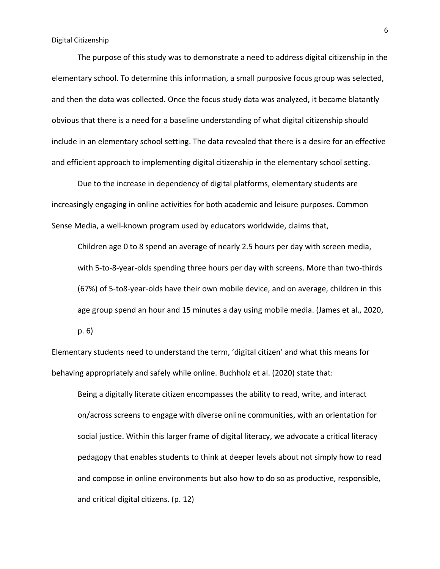The purpose of this study was to demonstrate a need to address digital citizenship in the elementary school. To determine this information, a small purposive focus group was selected, and then the data was collected. Once the focus study data was analyzed, it became blatantly obvious that there is a need for a baseline understanding of what digital citizenship should include in an elementary school setting. The data revealed that there is a desire for an effective and efficient approach to implementing digital citizenship in the elementary school setting.

Due to the increase in dependency of digital platforms, elementary students are increasingly engaging in online activities for both academic and leisure purposes. Common Sense Media, a well-known program used by educators worldwide, claims that,

Children age 0 to 8 spend an average of nearly 2.5 hours per day with screen media, with 5-to-8-year-olds spending three hours per day with screens. More than two-thirds (67%) of 5-to8-year-olds have their own mobile device, and on average, children in this age group spend an hour and 15 minutes a day using mobile media. (James et al., 2020,

p. 6)

Elementary students need to understand the term, 'digital citizen' and what this means for behaving appropriately and safely while online. Buchholz et al. (2020) state that:

Being a digitally literate citizen encompasses the ability to read, write, and interact on/across screens to engage with diverse online communities, with an orientation for social justice. Within this larger frame of digital literacy, we advocate a critical literacy pedagogy that enables students to think at deeper levels about not simply how to read and compose in online environments but also how to do so as productive, responsible, and critical digital citizens. (p. 12)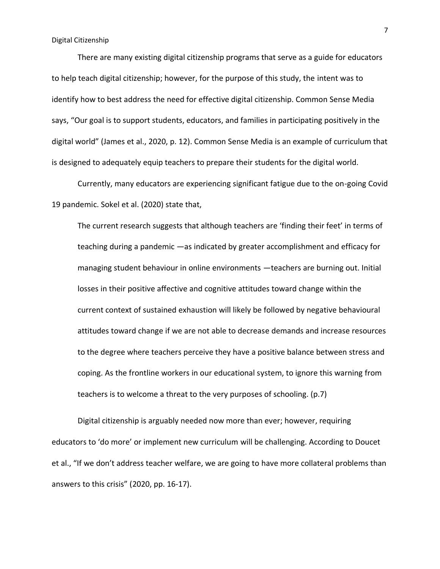There are many existing digital citizenship programs that serve as a guide for educators to help teach digital citizenship; however, for the purpose of this study, the intent was to identify how to best address the need for effective digital citizenship. Common Sense Media says, "Our goal is to support students, educators, and families in participating positively in the digital world" (James et al., 2020, p. 12). Common Sense Media is an example of curriculum that is designed to adequately equip teachers to prepare their students for the digital world.

Currently, many educators are experiencing significant fatigue due to the on-going Covid 19 pandemic. Sokel et al. (2020) state that,

The current research suggests that although teachers are 'finding their feet' in terms of teaching during a pandemic —as indicated by greater accomplishment and efficacy for managing student behaviour in online environments —teachers are burning out. Initial losses in their positive affective and cognitive attitudes toward change within the current context of sustained exhaustion will likely be followed by negative behavioural attitudes toward change if we are not able to decrease demands and increase resources to the degree where teachers perceive they have a positive balance between stress and coping. As the frontline workers in our educational system, to ignore this warning from teachers is to welcome a threat to the very purposes of schooling. (p.7)

Digital citizenship is arguably needed now more than ever; however, requiring educators to 'do more' or implement new curriculum will be challenging. According to Doucet et al., "If we don't address teacher welfare, we are going to have more collateral problems than answers to this crisis" (2020, pp. 16-17).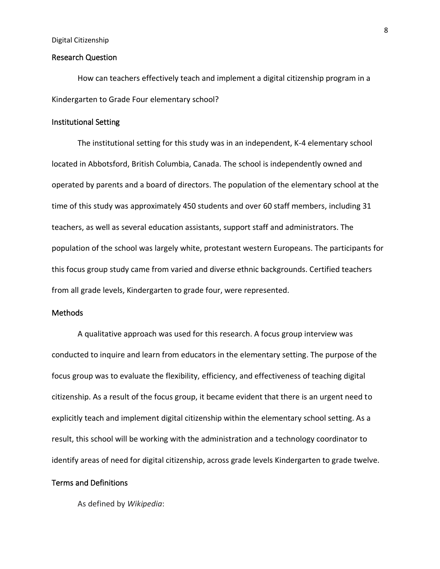#### Research Question

How can teachers effectively teach and implement a digital citizenship program in a Kindergarten to Grade Four elementary school?

#### Institutional Setting

The institutional setting for this study was in an independent, K-4 elementary school located in Abbotsford, British Columbia, Canada. The school is independently owned and operated by parents and a board of directors. The population of the elementary school at the time of this study was approximately 450 students and over 60 staff members, including 31 teachers, as well as several education assistants, support staff and administrators. The population of the school was largely white, protestant western Europeans. The participants for this focus group study came from varied and diverse ethnic backgrounds. Certified teachers from all grade levels, Kindergarten to grade four, were represented.

### Methods

A qualitative approach was used for this research. A focus group interview was conducted to inquire and learn from educators in the elementary setting. The purpose of the focus group was to evaluate the flexibility, efficiency, and effectiveness of teaching digital citizenship. As a result of the focus group, it became evident that there is an urgent need to explicitly teach and implement digital citizenship within the elementary school setting. As a result, this school will be working with the administration and a technology coordinator to identify areas of need for digital citizenship, across grade levels Kindergarten to grade twelve.

### Terms and Definitions

As defined by *Wikipedia*: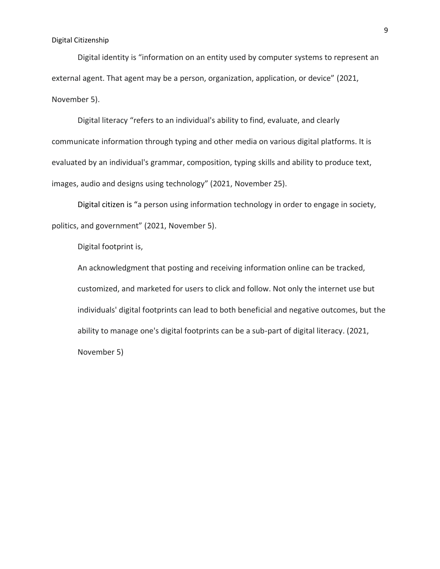Digital identity is "information on an entity used by computer systems to represent an external agent. That agent may be a person, organization, application, or device" (2021, November 5).

Digital literacy "refers to an individual's ability to find, evaluate, and clearly communicate information through typing and other media on various digital platforms. It is evaluated by an individual's grammar, composition, typing skills and ability to produce text, images, audio and designs using technology" (2021, November 25).

Digital citizen is "a person using information technology in order to engage in society, politics, and government" (2021, November 5).

Digital footprint is,

An acknowledgment that posting and receiving information online can be tracked, customized, and marketed for users to click and follow. Not only the internet use but individuals' digital footprints can lead to both beneficial and negative outcomes, but the ability to manage one's digital footprints can be a sub-part of digital literacy. (2021, November 5)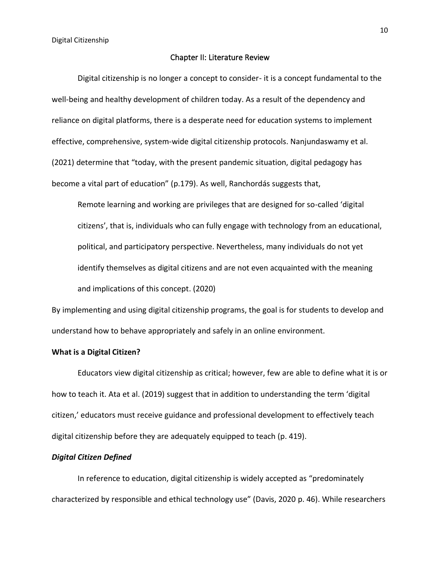#### Chapter II: Literature Review

Digital citizenship is no longer a concept to consider- it is a concept fundamental to the well-being and healthy development of children today. As a result of the dependency and reliance on digital platforms, there is a desperate need for education systems to implement effective, comprehensive, system-wide digital citizenship protocols. Nanjundaswamy et al. (2021) determine that "today, with the present pandemic situation, digital pedagogy has become a vital part of education" (p.179). As well, Ranchordás suggests that,

Remote learning and working are privileges that are designed for so-called 'digital citizens', that is, individuals who can fully engage with technology from an educational, political, and participatory perspective. Nevertheless, many individuals do not yet identify themselves as digital citizens and are not even acquainted with the meaning and implications of this concept. (2020)

By implementing and using digital citizenship programs, the goal is for students to develop and understand how to behave appropriately and safely in an online environment.

#### **What is a Digital Citizen?**

Educators view digital citizenship as critical; however, few are able to define what it is or how to teach it. Ata et al. (2019) suggest that in addition to understanding the term 'digital citizen,' educators must receive guidance and professional development to effectively teach digital citizenship before they are adequately equipped to teach (p. 419).

#### *Digital Citizen Defined*

In reference to education, digital citizenship is widely accepted as "predominately characterized by responsible and ethical technology use" (Davis, 2020 p. 46). While researchers

10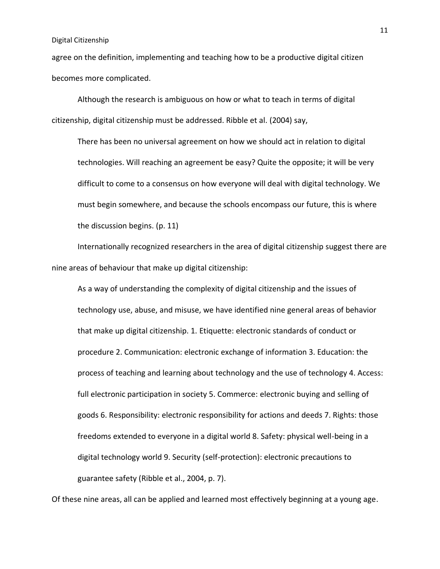agree on the definition, implementing and teaching how to be a productive digital citizen becomes more complicated.

Although the research is ambiguous on how or what to teach in terms of digital citizenship, digital citizenship must be addressed. Ribble et al. (2004) say,

There has been no universal agreement on how we should act in relation to digital technologies. Will reaching an agreement be easy? Quite the opposite; it will be very difficult to come to a consensus on how everyone will deal with digital technology. We must begin somewhere, and because the schools encompass our future, this is where the discussion begins. (p. 11)

Internationally recognized researchers in the area of digital citizenship suggest there are nine areas of behaviour that make up digital citizenship:

As a way of understanding the complexity of digital citizenship and the issues of technology use, abuse, and misuse, we have identified nine general areas of behavior that make up digital citizenship. 1. Etiquette: electronic standards of conduct or procedure 2. Communication: electronic exchange of information 3. Education: the process of teaching and learning about technology and the use of technology 4. Access: full electronic participation in society 5. Commerce: electronic buying and selling of goods 6. Responsibility: electronic responsibility for actions and deeds 7. Rights: those freedoms extended to everyone in a digital world 8. Safety: physical well-being in a digital technology world 9. Security (self-protection): electronic precautions to guarantee safety (Ribble et al., 2004, p. 7).

Of these nine areas, all can be applied and learned most effectively beginning at a young age.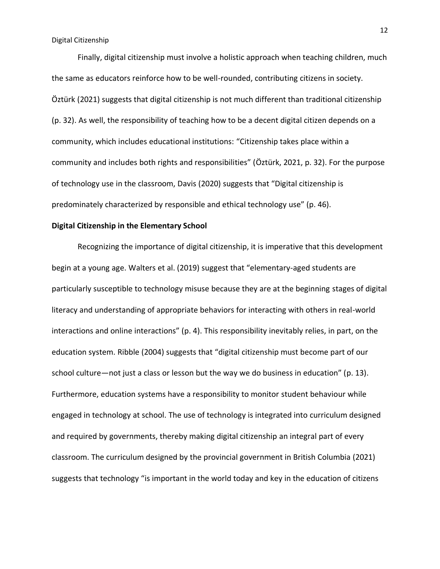Finally, digital citizenship must involve a holistic approach when teaching children, much the same as educators reinforce how to be well-rounded, contributing citizens in society. Öztürk (2021) suggests that digital citizenship is not much different than traditional citizenship (p. 32). As well, the responsibility of teaching how to be a decent digital citizen depends on a community, which includes educational institutions: "Citizenship takes place within a community and includes both rights and responsibilities" (Öztürk, 2021, p. 32). For the purpose of technology use in the classroom, Davis (2020) suggests that "Digital citizenship is predominately characterized by responsible and ethical technology use" (p. 46).

#### **Digital Citizenship in the Elementary School**

Recognizing the importance of digital citizenship, it is imperative that this development begin at a young age. Walters et al. (2019) suggest that "elementary-aged students are particularly susceptible to technology misuse because they are at the beginning stages of digital literacy and understanding of appropriate behaviors for interacting with others in real-world interactions and online interactions" (p. 4). This responsibility inevitably relies, in part, on the education system. Ribble (2004) suggests that "digital citizenship must become part of our school culture—not just a class or lesson but the way we do business in education" (p. 13). Furthermore, education systems have a responsibility to monitor student behaviour while engaged in technology at school. The use of technology is integrated into curriculum designed and required by governments, thereby making digital citizenship an integral part of every classroom. The curriculum designed by the provincial government in British Columbia (2021) suggests that technology "is important in the world today and key in the education of citizens

12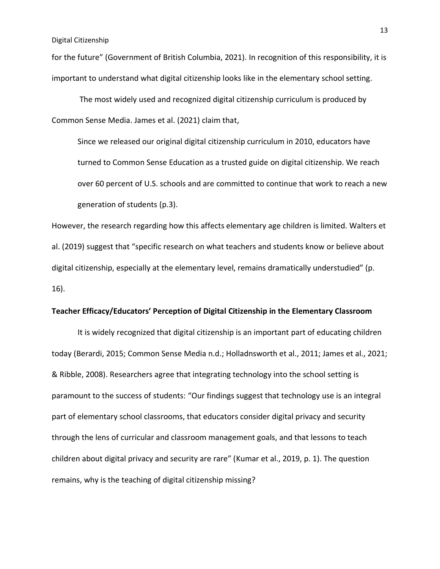for the future" (Government of British Columbia, 2021). In recognition of this responsibility, it is important to understand what digital citizenship looks like in the elementary school setting.

The most widely used and recognized digital citizenship curriculum is produced by Common Sense Media. James et al. (2021) claim that,

Since we released our original digital citizenship curriculum in 2010, educators have turned to Common Sense Education as a trusted guide on digital citizenship. We reach over 60 percent of U.S. schools and are committed to continue that work to reach a new generation of students (p.3).

However, the research regarding how this affects elementary age children is limited. Walters et al. (2019) suggest that "specific research on what teachers and students know or believe about digital citizenship, especially at the elementary level, remains dramatically understudied" (p. 16).

#### **Teacher Efficacy/Educators' Perception of Digital Citizenship in the Elementary Classroom**

It is widely recognized that digital citizenship is an important part of educating children today (Berardi, 2015; Common Sense Media n.d.; Holladnsworth et al., 2011; James et al., 2021; & Ribble, 2008). Researchers agree that integrating technology into the school setting is paramount to the success of students: "Our findings suggest that technology use is an integral part of elementary school classrooms, that educators consider digital privacy and security through the lens of curricular and classroom management goals, and that lessons to teach children about digital privacy and security are rare" (Kumar et al., 2019, p. 1). The question remains, why is the teaching of digital citizenship missing?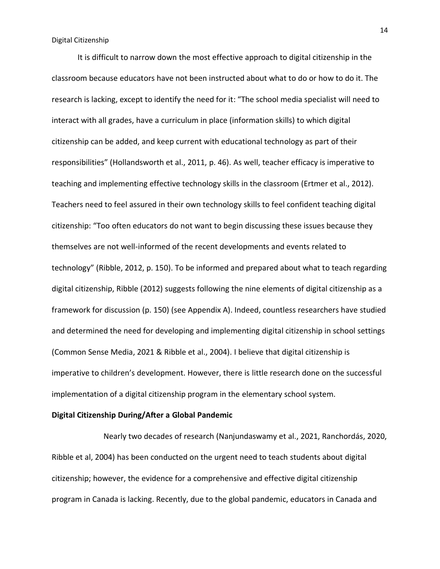It is difficult to narrow down the most effective approach to digital citizenship in the classroom because educators have not been instructed about what to do or how to do it. The research is lacking, except to identify the need for it: "The school media specialist will need to interact with all grades, have a curriculum in place (information skills) to which digital citizenship can be added, and keep current with educational technology as part of their responsibilities" (Hollandsworth et al., 2011, p. 46). As well, teacher efficacy is imperative to teaching and implementing effective technology skills in the classroom (Ertmer et al., 2012). Teachers need to feel assured in their own technology skills to feel confident teaching digital citizenship: "Too often educators do not want to begin discussing these issues because they themselves are not well-informed of the recent developments and events related to technology" (Ribble, 2012, p. 150). To be informed and prepared about what to teach regarding digital citizenship, Ribble (2012) suggests following the nine elements of digital citizenship as a framework for discussion (p. 150) (see Appendix A). Indeed, countless researchers have studied and determined the need for developing and implementing digital citizenship in school settings (Common Sense Media, 2021 & Ribble et al., 2004). I believe that digital citizenship is imperative to children's development. However, there is little research done on the successful implementation of a digital citizenship program in the elementary school system.

#### **Digital Citizenship During/After a Global Pandemic**

Nearly two decades of research (Nanjundaswamy et al., 2021, Ranchordás, 2020, Ribble et al, 2004) has been conducted on the urgent need to teach students about digital citizenship; however, the evidence for a comprehensive and effective digital citizenship program in Canada is lacking. Recently, due to the global pandemic, educators in Canada and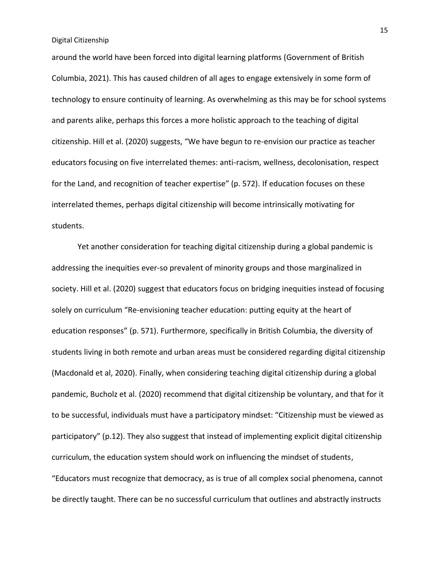around the world have been forced into digital learning platforms (Government of British Columbia, 2021). This has caused children of all ages to engage extensively in some form of technology to ensure continuity of learning. As overwhelming as this may be for school systems and parents alike, perhaps this forces a more holistic approach to the teaching of digital citizenship. Hill et al. (2020) suggests, "We have begun to re-envision our practice as teacher educators focusing on five interrelated themes: anti-racism, wellness, decolonisation, respect for the Land, and recognition of teacher expertise" (p. 572). If education focuses on these interrelated themes, perhaps digital citizenship will become intrinsically motivating for students.

Yet another consideration for teaching digital citizenship during a global pandemic is addressing the inequities ever-so prevalent of minority groups and those marginalized in society. Hill et al. (2020) suggest that educators focus on bridging inequities instead of focusing solely on curriculum "Re-envisioning teacher education: putting equity at the heart of education responses" (p. 571). Furthermore, specifically in British Columbia, the diversity of students living in both remote and urban areas must be considered regarding digital citizenship (Macdonald et al, 2020). Finally, when considering teaching digital citizenship during a global pandemic, Bucholz et al. (2020) recommend that digital citizenship be voluntary, and that for it to be successful, individuals must have a participatory mindset: "Citizenship must be viewed as participatory" (p.12). They also suggest that instead of implementing explicit digital citizenship curriculum, the education system should work on influencing the mindset of students, "Educators must recognize that democracy, as is true of all complex social phenomena, cannot be directly taught. There can be no successful curriculum that outlines and abstractly instructs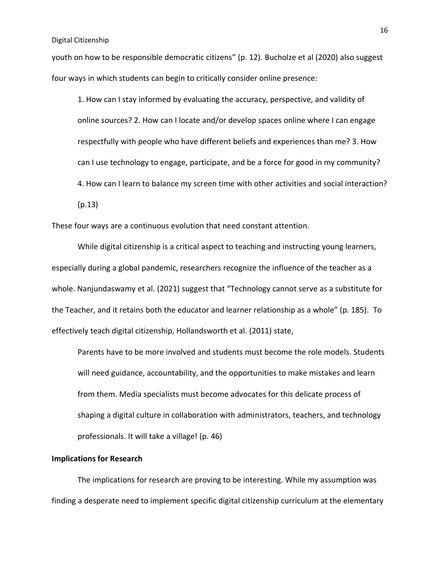youth on how to be responsible democratic citizens" (p. 12). Bucholze et al (2020) also suggest four ways in which students can begin to critically consider online presence:

1. How can I stay informed by evaluating the accuracy, perspective, and validity of online sources? 2. How can I locate and/or develop spaces online where I can engage respectfully with people who have different beliefs and experiences than me? 3. How can I use technology to engage, participate, and be a force for good in my community? 4. How can I learn to balance my screen time with other activities and social interaction? (p.13)

These four ways are a continuous evolution that need constant attention.

While digital citizenship is a critical aspect to teaching and instructing young learners, especially during a global pandemic, researchers recognize the influence of the teacher as a whole. Nanjundaswamy et al. (2021) suggest that "Technology cannot serve as a substitute for the Teacher, and it retains both the educator and learner relationship as a whole" (p. 185). To effectively teach digital citizenship, Hollandsworth et al. (2011) state,

Parents have to be more involved and students must become the role models. Students will need guidance, accountability, and the opportunities to make mistakes and learn from them. Media specialists must become advocates for this delicate process of shaping a digital culture in collaboration with administrators, teachers, and technology professionals. It will take a village! (p. 46)

#### **Implications for Research**

The implications for research are proving to be interesting. While my assumption was finding a desperate need to implement specific digital citizenship curriculum at the elementary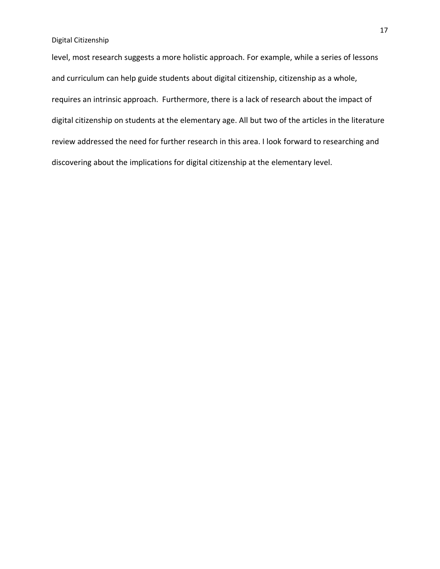level, most research suggests a more holistic approach. For example, while a series of lessons and curriculum can help guide students about digital citizenship, citizenship as a whole, requires an intrinsic approach. Furthermore, there is a lack of research about the impact of digital citizenship on students at the elementary age. All but two of the articles in the literature review addressed the need for further research in this area. I look forward to researching and discovering about the implications for digital citizenship at the elementary level.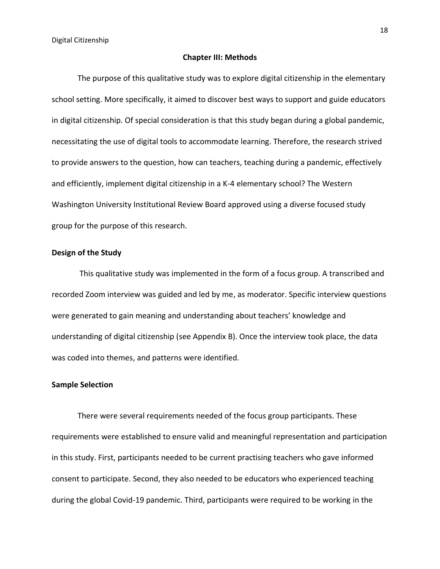#### **Chapter III: Methods**

The purpose of this qualitative study was to explore digital citizenship in the elementary school setting. More specifically, it aimed to discover best ways to support and guide educators in digital citizenship. Of special consideration is that this study began during a global pandemic, necessitating the use of digital tools to accommodate learning. Therefore, the research strived to provide answers to the question, how can teachers, teaching during a pandemic, effectively and efficiently, implement digital citizenship in a K-4 elementary school? The Western Washington University Institutional Review Board approved using a diverse focused study group for the purpose of this research.

#### **Design of the Study**

This qualitative study was implemented in the form of a focus group. A transcribed and recorded Zoom interview was guided and led by me, as moderator. Specific interview questions were generated to gain meaning and understanding about teachers' knowledge and understanding of digital citizenship (see Appendix B). Once the interview took place, the data was coded into themes, and patterns were identified.

#### **Sample Selection**

There were several requirements needed of the focus group participants. These requirements were established to ensure valid and meaningful representation and participation in this study. First, participants needed to be current practising teachers who gave informed consent to participate. Second, they also needed to be educators who experienced teaching during the global Covid-19 pandemic. Third, participants were required to be working in the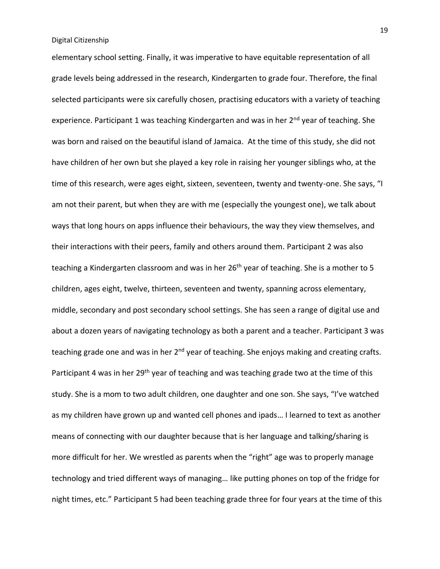elementary school setting. Finally, it was imperative to have equitable representation of all grade levels being addressed in the research, Kindergarten to grade four. Therefore, the final selected participants were six carefully chosen, practising educators with a variety of teaching experience. Participant 1 was teaching Kindergarten and was in her 2<sup>nd</sup> year of teaching. She was born and raised on the beautiful island of Jamaica. At the time of this study, she did not have children of her own but she played a key role in raising her younger siblings who, at the time of this research, were ages eight, sixteen, seventeen, twenty and twenty-one. She says, "I am not their parent, but when they are with me (especially the youngest one), we talk about ways that long hours on apps influence their behaviours, the way they view themselves, and their interactions with their peers, family and others around them. Participant 2 was also teaching a Kindergarten classroom and was in her 26<sup>th</sup> year of teaching. She is a mother to 5 children, ages eight, twelve, thirteen, seventeen and twenty, spanning across elementary, middle, secondary and post secondary school settings. She has seen a range of digital use and about a dozen years of navigating technology as both a parent and a teacher. Participant 3 was teaching grade one and was in her  $2^{nd}$  year of teaching. She enjoys making and creating crafts. Participant 4 was in her 29<sup>th</sup> year of teaching and was teaching grade two at the time of this study. She is a mom to two adult children, one daughter and one son. She says, "I've watched as my children have grown up and wanted cell phones and ipads… I learned to text as another means of connecting with our daughter because that is her language and talking/sharing is more difficult for her. We wrestled as parents when the "right" age was to properly manage technology and tried different ways of managing… like putting phones on top of the fridge for night times, etc." Participant 5 had been teaching grade three for four years at the time of this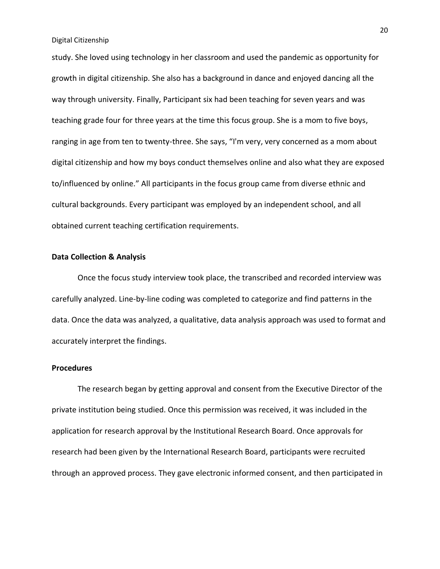study. She loved using technology in her classroom and used the pandemic as opportunity for growth in digital citizenship. She also has a background in dance and enjoyed dancing all the way through university. Finally, Participant six had been teaching for seven years and was teaching grade four for three years at the time this focus group. She is a mom to five boys, ranging in age from ten to twenty-three. She says, "I'm very, very concerned as a mom about digital citizenship and how my boys conduct themselves online and also what they are exposed to/influenced by online." All participants in the focus group came from diverse ethnic and cultural backgrounds. Every participant was employed by an independent school, and all obtained current teaching certification requirements.

#### **Data Collection & Analysis**

Once the focus study interview took place, the transcribed and recorded interview was carefully analyzed. Line-by-line coding was completed to categorize and find patterns in the data. Once the data was analyzed, a qualitative, data analysis approach was used to format and accurately interpret the findings.

#### **Procedures**

The research began by getting approval and consent from the Executive Director of the private institution being studied. Once this permission was received, it was included in the application for research approval by the Institutional Research Board. Once approvals for research had been given by the International Research Board, participants were recruited through an approved process. They gave electronic informed consent, and then participated in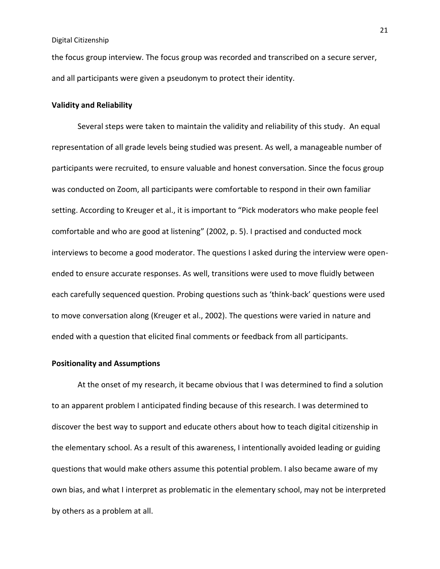the focus group interview. The focus group was recorded and transcribed on a secure server, and all participants were given a pseudonym to protect their identity.

#### **Validity and Reliability**

Several steps were taken to maintain the validity and reliability of this study. An equal representation of all grade levels being studied was present. As well, a manageable number of participants were recruited, to ensure valuable and honest conversation. Since the focus group was conducted on Zoom, all participants were comfortable to respond in their own familiar setting. According to Kreuger et al., it is important to "Pick moderators who make people feel comfortable and who are good at listening" (2002, p. 5). I practised and conducted mock interviews to become a good moderator. The questions I asked during the interview were openended to ensure accurate responses. As well, transitions were used to move fluidly between each carefully sequenced question. Probing questions such as 'think-back' questions were used to move conversation along (Kreuger et al., 2002). The questions were varied in nature and ended with a question that elicited final comments or feedback from all participants.

#### **Positionality and Assumptions**

At the onset of my research, it became obvious that I was determined to find a solution to an apparent problem I anticipated finding because of this research. I was determined to discover the best way to support and educate others about how to teach digital citizenship in the elementary school. As a result of this awareness, I intentionally avoided leading or guiding questions that would make others assume this potential problem. I also became aware of my own bias, and what I interpret as problematic in the elementary school, may not be interpreted by others as a problem at all.

21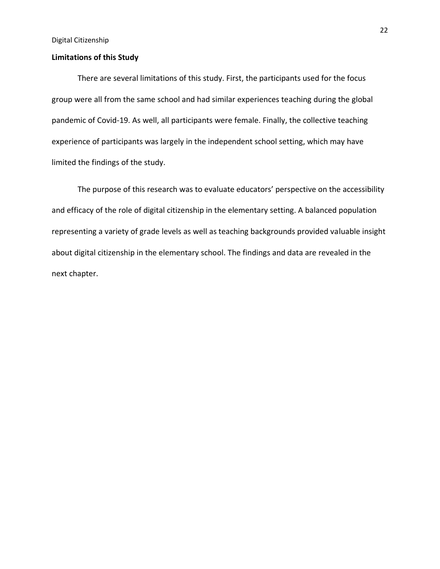#### **Limitations of this Study**

There are several limitations of this study. First, the participants used for the focus group were all from the same school and had similar experiences teaching during the global pandemic of Covid-19. As well, all participants were female. Finally, the collective teaching experience of participants was largely in the independent school setting, which may have limited the findings of the study.

The purpose of this research was to evaluate educators' perspective on the accessibility and efficacy of the role of digital citizenship in the elementary setting. A balanced population representing a variety of grade levels as well as teaching backgrounds provided valuable insight about digital citizenship in the elementary school. The findings and data are revealed in the next chapter.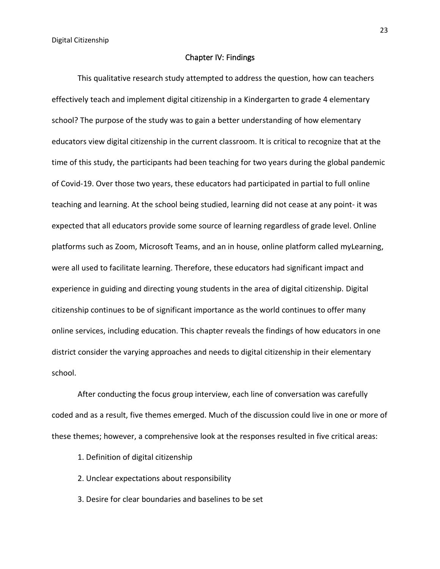#### Chapter IV: Findings

This qualitative research study attempted to address the question, how can teachers effectively teach and implement digital citizenship in a Kindergarten to grade 4 elementary school? The purpose of the study was to gain a better understanding of how elementary educators view digital citizenship in the current classroom. It is critical to recognize that at the time of this study, the participants had been teaching for two years during the global pandemic of Covid-19. Over those two years, these educators had participated in partial to full online teaching and learning. At the school being studied, learning did not cease at any point- it was expected that all educators provide some source of learning regardless of grade level. Online platforms such as Zoom, Microsoft Teams, and an in house, online platform called myLearning, were all used to facilitate learning. Therefore, these educators had significant impact and experience in guiding and directing young students in the area of digital citizenship. Digital citizenship continues to be of significant importance as the world continues to offer many online services, including education. This chapter reveals the findings of how educators in one district consider the varying approaches and needs to digital citizenship in their elementary school.

After conducting the focus group interview, each line of conversation was carefully coded and as a result, five themes emerged. Much of the discussion could live in one or more of these themes; however, a comprehensive look at the responses resulted in five critical areas:

- 1. Definition of digital citizenship
- 2. Unclear expectations about responsibility
- 3. Desire for clear boundaries and baselines to be set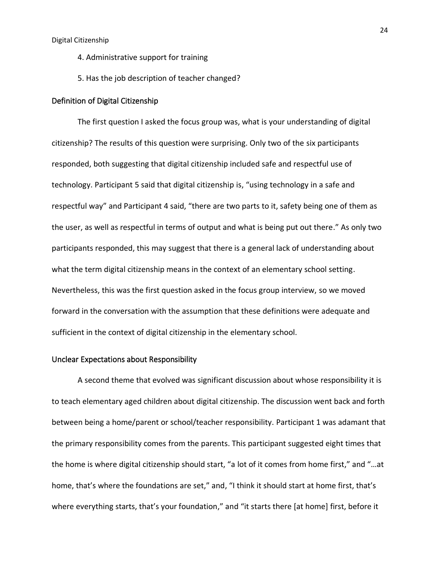- 4. Administrative support for training
- 5. Has the job description of teacher changed?

#### Definition of Digital Citizenship

The first question I asked the focus group was, what is your understanding of digital citizenship? The results of this question were surprising. Only two of the six participants responded, both suggesting that digital citizenship included safe and respectful use of technology. Participant 5 said that digital citizenship is, "using technology in a safe and respectful way" and Participant 4 said, "there are two parts to it, safety being one of them as the user, as well as respectful in terms of output and what is being put out there." As only two participants responded, this may suggest that there is a general lack of understanding about what the term digital citizenship means in the context of an elementary school setting. Nevertheless, this was the first question asked in the focus group interview, so we moved forward in the conversation with the assumption that these definitions were adequate and sufficient in the context of digital citizenship in the elementary school.

#### Unclear Expectations about Responsibility

A second theme that evolved was significant discussion about whose responsibility it is to teach elementary aged children about digital citizenship. The discussion went back and forth between being a home/parent or school/teacher responsibility. Participant 1 was adamant that the primary responsibility comes from the parents. This participant suggested eight times that the home is where digital citizenship should start, "a lot of it comes from home first," and "…at home, that's where the foundations are set," and, "I think it should start at home first, that's where everything starts, that's your foundation," and "it starts there [at home] first, before it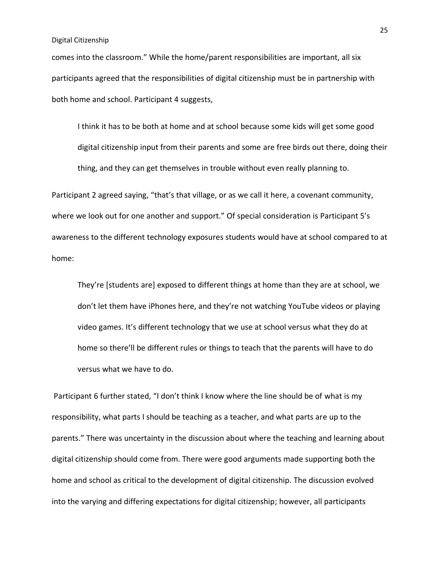comes into the classroom." While the home/parent responsibilities are important, all six participants agreed that the responsibilities of digital citizenship must be in partnership with both home and school. Participant 4 suggests,

I think it has to be both at home and at school because some kids will get some good digital citizenship input from their parents and some are free birds out there, doing their thing, and they can get themselves in trouble without even really planning to.

Participant 2 agreed saying, "that's that village, or as we call it here, a covenant community, where we look out for one another and support." Of special consideration is Participant 5's awareness to the different technology exposures students would have at school compared to at home:

They're [students are] exposed to different things at home than they are at school, we don't let them have iPhones here, and they're not watching YouTube videos or playing video games. It's different technology that we use at school versus what they do at home so there'll be different rules or things to teach that the parents will have to do versus what we have to do.

Participant 6 further stated, "I don't think I know where the line should be of what is my responsibility, what parts I should be teaching as a teacher, and what parts are up to the parents." There was uncertainty in the discussion about where the teaching and learning about digital citizenship should come from. There were good arguments made supporting both the home and school as critical to the development of digital citizenship. The discussion evolved into the varying and differing expectations for digital citizenship; however, all participants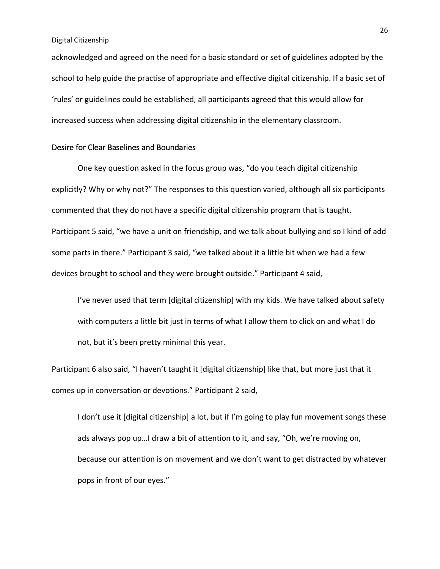acknowledged and agreed on the need for a basic standard or set of guidelines adopted by the school to help guide the practise of appropriate and effective digital citizenship. If a basic set of 'rules' or guidelines could be established, all participants agreed that this would allow for increased success when addressing digital citizenship in the elementary classroom.

# Desire for Clear Baselines and Boundaries

One key question asked in the focus group was, "do you teach digital citizenship explicitly? Why or why not?" The responses to this question varied, although all six participants commented that they do not have a specific digital citizenship program that is taught. Participant 5 said, "we have a unit on friendship, and we talk about bullying and so I kind of add some parts in there." Participant 3 said, "we talked about it a little bit when we had a few devices brought to school and they were brought outside." Participant 4 said,

I've never used that term [digital citizenship] with my kids. We have talked about safety with computers a little bit just in terms of what I allow them to click on and what I do not, but it's been pretty minimal this year.

Participant 6 also said, "I haven't taught it [digital citizenship] like that, but more just that it comes up in conversation or devotions." Participant 2 said,

I don't use it [digital citizenship] a lot, but if I'm going to play fun movement songs these ads always pop up…I draw a bit of attention to it, and say, "Oh, we're moving on, because our attention is on movement and we don't want to get distracted by whatever pops in front of our eyes."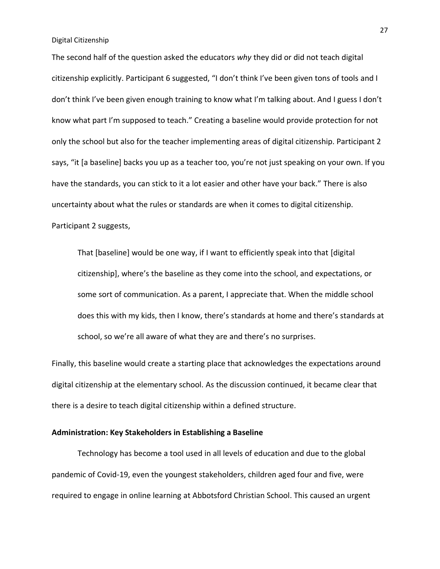The second half of the question asked the educators *why* they did or did not teach digital citizenship explicitly. Participant 6 suggested, "I don't think I've been given tons of tools and I don't think I've been given enough training to know what I'm talking about. And I guess I don't know what part I'm supposed to teach." Creating a baseline would provide protection for not only the school but also for the teacher implementing areas of digital citizenship. Participant 2 says, "it [a baseline] backs you up as a teacher too, you're not just speaking on your own. If you have the standards, you can stick to it a lot easier and other have your back." There is also uncertainty about what the rules or standards are when it comes to digital citizenship. Participant 2 suggests,

That [baseline] would be one way, if I want to efficiently speak into that [digital citizenship], where's the baseline as they come into the school, and expectations, or some sort of communication. As a parent, I appreciate that. When the middle school does this with my kids, then I know, there's standards at home and there's standards at school, so we're all aware of what they are and there's no surprises.

Finally, this baseline would create a starting place that acknowledges the expectations around digital citizenship at the elementary school. As the discussion continued, it became clear that there is a desire to teach digital citizenship within a defined structure.

#### **Administration: Key Stakeholders in Establishing a Baseline**

Technology has become a tool used in all levels of education and due to the global pandemic of Covid-19, even the youngest stakeholders, children aged four and five, were required to engage in online learning at Abbotsford Christian School. This caused an urgent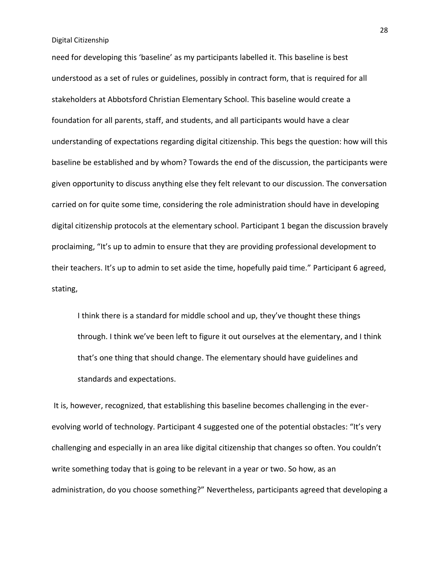need for developing this 'baseline' as my participants labelled it. This baseline is best understood as a set of rules or guidelines, possibly in contract form, that is required for all stakeholders at Abbotsford Christian Elementary School. This baseline would create a foundation for all parents, staff, and students, and all participants would have a clear understanding of expectations regarding digital citizenship. This begs the question: how will this baseline be established and by whom? Towards the end of the discussion, the participants were given opportunity to discuss anything else they felt relevant to our discussion. The conversation carried on for quite some time, considering the role administration should have in developing digital citizenship protocols at the elementary school. Participant 1 began the discussion bravely proclaiming, "It's up to admin to ensure that they are providing professional development to their teachers. It's up to admin to set aside the time, hopefully paid time." Participant 6 agreed, stating,

I think there is a standard for middle school and up, they've thought these things through. I think we've been left to figure it out ourselves at the elementary, and I think that's one thing that should change. The elementary should have guidelines and standards and expectations.

It is, however, recognized, that establishing this baseline becomes challenging in the everevolving world of technology. Participant 4 suggested one of the potential obstacles: "It's very challenging and especially in an area like digital citizenship that changes so often. You couldn't write something today that is going to be relevant in a year or two. So how, as an administration, do you choose something?" Nevertheless, participants agreed that developing a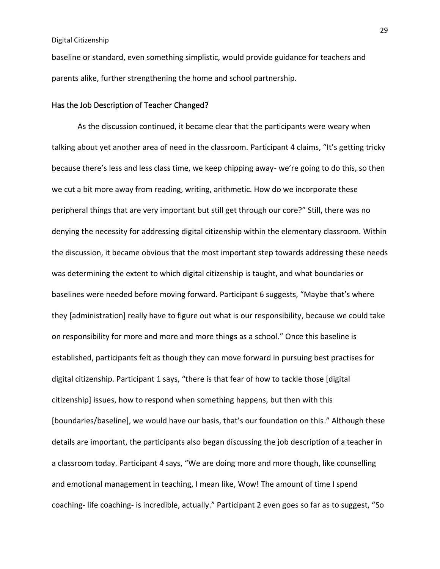baseline or standard, even something simplistic, would provide guidance for teachers and parents alike, further strengthening the home and school partnership.

#### Has the Job Description of Teacher Changed?

As the discussion continued, it became clear that the participants were weary when talking about yet another area of need in the classroom. Participant 4 claims, "It's getting tricky because there's less and less class time, we keep chipping away- we're going to do this, so then we cut a bit more away from reading, writing, arithmetic. How do we incorporate these peripheral things that are very important but still get through our core?" Still, there was no denying the necessity for addressing digital citizenship within the elementary classroom. Within the discussion, it became obvious that the most important step towards addressing these needs was determining the extent to which digital citizenship is taught, and what boundaries or baselines were needed before moving forward. Participant 6 suggests, "Maybe that's where they [administration] really have to figure out what is our responsibility, because we could take on responsibility for more and more and more things as a school." Once this baseline is established, participants felt as though they can move forward in pursuing best practises for digital citizenship. Participant 1 says, "there is that fear of how to tackle those [digital citizenship] issues, how to respond when something happens, but then with this [boundaries/baseline], we would have our basis, that's our foundation on this." Although these details are important, the participants also began discussing the job description of a teacher in a classroom today. Participant 4 says, "We are doing more and more though, like counselling and emotional management in teaching, I mean like, Wow! The amount of time I spend coaching- life coaching- is incredible, actually." Participant 2 even goes so far as to suggest, "So

29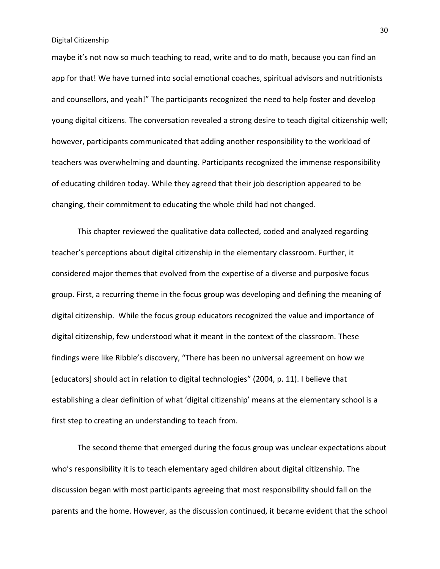maybe it's not now so much teaching to read, write and to do math, because you can find an app for that! We have turned into social emotional coaches, spiritual advisors and nutritionists and counsellors, and yeah!" The participants recognized the need to help foster and develop young digital citizens. The conversation revealed a strong desire to teach digital citizenship well; however, participants communicated that adding another responsibility to the workload of teachers was overwhelming and daunting. Participants recognized the immense responsibility of educating children today. While they agreed that their job description appeared to be changing, their commitment to educating the whole child had not changed.

This chapter reviewed the qualitative data collected, coded and analyzed regarding teacher's perceptions about digital citizenship in the elementary classroom. Further, it considered major themes that evolved from the expertise of a diverse and purposive focus group. First, a recurring theme in the focus group was developing and defining the meaning of digital citizenship. While the focus group educators recognized the value and importance of digital citizenship, few understood what it meant in the context of the classroom. These findings were like Ribble's discovery, "There has been no universal agreement on how we [educators] should act in relation to digital technologies" (2004, p. 11). I believe that establishing a clear definition of what 'digital citizenship' means at the elementary school is a first step to creating an understanding to teach from.

The second theme that emerged during the focus group was unclear expectations about who's responsibility it is to teach elementary aged children about digital citizenship. The discussion began with most participants agreeing that most responsibility should fall on the parents and the home. However, as the discussion continued, it became evident that the school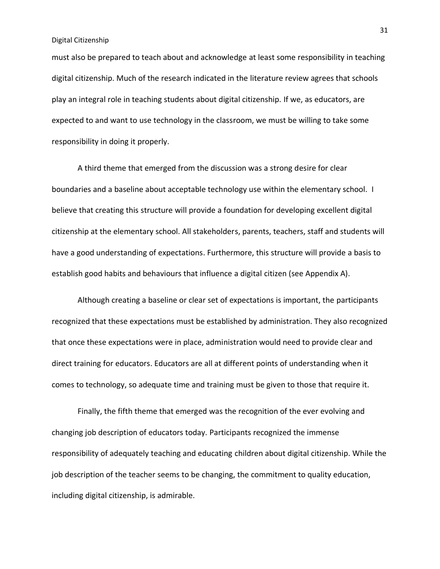must also be prepared to teach about and acknowledge at least some responsibility in teaching digital citizenship. Much of the research indicated in the literature review agrees that schools play an integral role in teaching students about digital citizenship. If we, as educators, are expected to and want to use technology in the classroom, we must be willing to take some responsibility in doing it properly.

A third theme that emerged from the discussion was a strong desire for clear boundaries and a baseline about acceptable technology use within the elementary school. I believe that creating this structure will provide a foundation for developing excellent digital citizenship at the elementary school. All stakeholders, parents, teachers, staff and students will have a good understanding of expectations. Furthermore, this structure will provide a basis to establish good habits and behaviours that influence a digital citizen (see Appendix A).

Although creating a baseline or clear set of expectations is important, the participants recognized that these expectations must be established by administration. They also recognized that once these expectations were in place, administration would need to provide clear and direct training for educators. Educators are all at different points of understanding when it comes to technology, so adequate time and training must be given to those that require it.

Finally, the fifth theme that emerged was the recognition of the ever evolving and changing job description of educators today. Participants recognized the immense responsibility of adequately teaching and educating children about digital citizenship. While the job description of the teacher seems to be changing, the commitment to quality education, including digital citizenship, is admirable.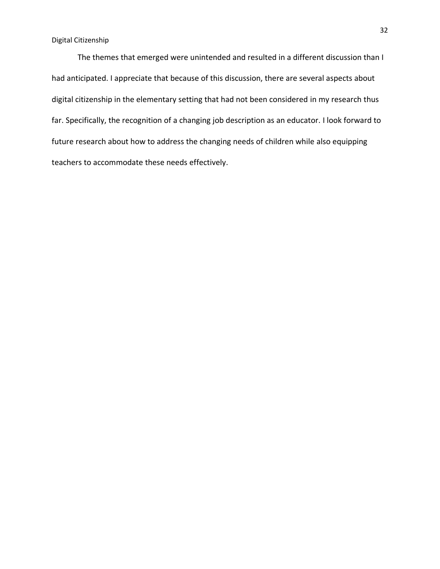The themes that emerged were unintended and resulted in a different discussion than I had anticipated. I appreciate that because of this discussion, there are several aspects about digital citizenship in the elementary setting that had not been considered in my research thus far. Specifically, the recognition of a changing job description as an educator. I look forward to future research about how to address the changing needs of children while also equipping teachers to accommodate these needs effectively.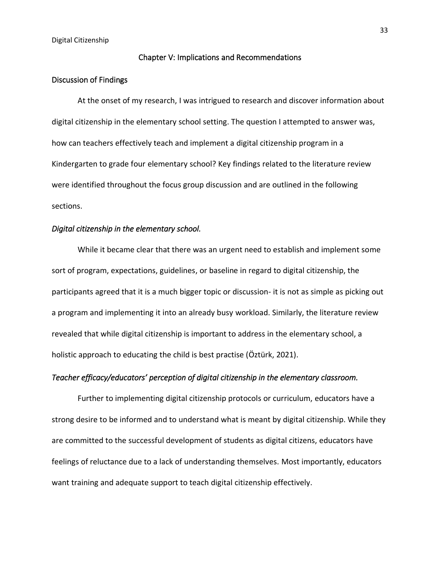#### Chapter V: Implications and Recommendations

#### Discussion of Findings

At the onset of my research, I was intrigued to research and discover information about digital citizenship in the elementary school setting. The question I attempted to answer was, how can teachers effectively teach and implement a digital citizenship program in a Kindergarten to grade four elementary school? Key findings related to the literature review were identified throughout the focus group discussion and are outlined in the following sections.

#### *Digital citizenship in the elementary school.*

While it became clear that there was an urgent need to establish and implement some sort of program, expectations, guidelines, or baseline in regard to digital citizenship, the participants agreed that it is a much bigger topic or discussion- it is not as simple as picking out a program and implementing it into an already busy workload. Similarly, the literature review revealed that while digital citizenship is important to address in the elementary school, a holistic approach to educating the child is best practise (Öztürk, 2021).

#### *Teacher efficacy/educators' perception of digital citizenship in the elementary classroom.*

Further to implementing digital citizenship protocols or curriculum, educators have a strong desire to be informed and to understand what is meant by digital citizenship. While they are committed to the successful development of students as digital citizens, educators have feelings of reluctance due to a lack of understanding themselves. Most importantly, educators want training and adequate support to teach digital citizenship effectively.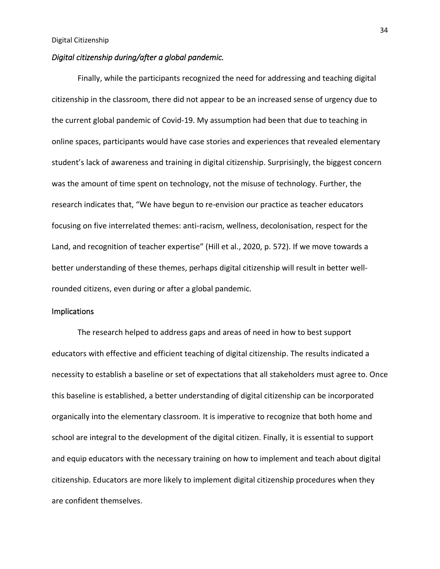#### *Digital citizenship during/after a global pandemic.*

Finally, while the participants recognized the need for addressing and teaching digital citizenship in the classroom, there did not appear to be an increased sense of urgency due to the current global pandemic of Covid-19. My assumption had been that due to teaching in online spaces, participants would have case stories and experiences that revealed elementary student's lack of awareness and training in digital citizenship. Surprisingly, the biggest concern was the amount of time spent on technology, not the misuse of technology. Further, the research indicates that, "We have begun to re-envision our practice as teacher educators focusing on five interrelated themes: anti-racism, wellness, decolonisation, respect for the Land, and recognition of teacher expertise" (Hill et al., 2020, p. 572). If we move towards a better understanding of these themes, perhaps digital citizenship will result in better wellrounded citizens, even during or after a global pandemic.

#### **Implications**

The research helped to address gaps and areas of need in how to best support educators with effective and efficient teaching of digital citizenship. The results indicated a necessity to establish a baseline or set of expectations that all stakeholders must agree to. Once this baseline is established, a better understanding of digital citizenship can be incorporated organically into the elementary classroom. It is imperative to recognize that both home and school are integral to the development of the digital citizen. Finally, it is essential to support and equip educators with the necessary training on how to implement and teach about digital citizenship. Educators are more likely to implement digital citizenship procedures when they are confident themselves.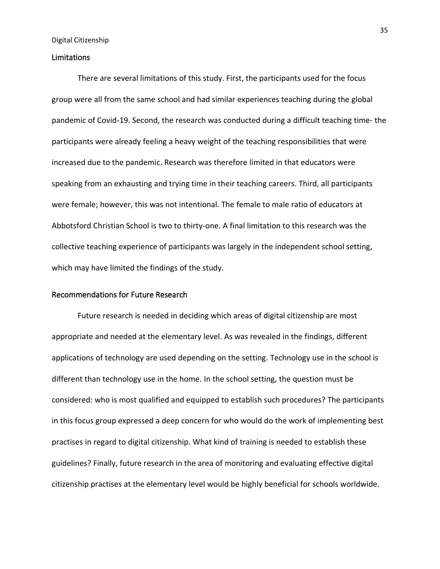#### Limitations

There are several limitations of this study. First, the participants used for the focus group were all from the same school and had similar experiences teaching during the global pandemic of Covid-19. Second, the research was conducted during a difficult teaching time- the participants were already feeling a heavy weight of the teaching responsibilities that were increased due to the pandemic. Research was therefore limited in that educators were speaking from an exhausting and trying time in their teaching careers. Third, all participants were female; however, this was not intentional. The female to male ratio of educators at Abbotsford Christian School is two to thirty-one. A final limitation to this research was the collective teaching experience of participants was largely in the independent school setting, which may have limited the findings of the study.

#### Recommendations for Future Research

Future research is needed in deciding which areas of digital citizenship are most appropriate and needed at the elementary level. As was revealed in the findings, different applications of technology are used depending on the setting. Technology use in the school is different than technology use in the home. In the school setting, the question must be considered: who is most qualified and equipped to establish such procedures? The participants in this focus group expressed a deep concern for who would do the work of implementing best practises in regard to digital citizenship. What kind of training is needed to establish these guidelines? Finally, future research in the area of monitoring and evaluating effective digital citizenship practises at the elementary level would be highly beneficial for schools worldwide.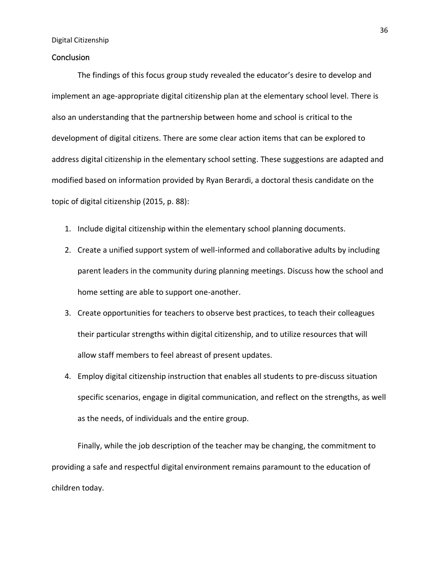#### **Conclusion**

The findings of this focus group study revealed the educator's desire to develop and implement an age-appropriate digital citizenship plan at the elementary school level. There is also an understanding that the partnership between home and school is critical to the development of digital citizens. There are some clear action items that can be explored to address digital citizenship in the elementary school setting. These suggestions are adapted and modified based on information provided by Ryan Berardi, a doctoral thesis candidate on the topic of digital citizenship (2015, p. 88):

- 1. Include digital citizenship within the elementary school planning documents.
- 2. Create a unified support system of well-informed and collaborative adults by including parent leaders in the community during planning meetings. Discuss how the school and home setting are able to support one-another.
- 3. Create opportunities for teachers to observe best practices, to teach their colleagues their particular strengths within digital citizenship, and to utilize resources that will allow staff members to feel abreast of present updates.
- 4. Employ digital citizenship instruction that enables all students to pre-discuss situation specific scenarios, engage in digital communication, and reflect on the strengths, as well as the needs, of individuals and the entire group.

Finally, while the job description of the teacher may be changing, the commitment to providing a safe and respectful digital environment remains paramount to the education of children today.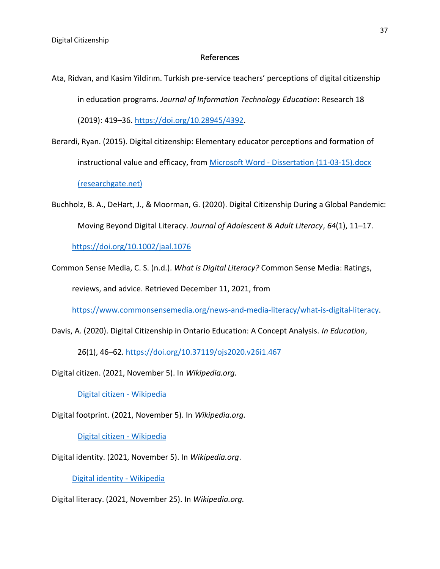#### References

- Ata, Ridvan, and Kasim Yildirım. Turkish pre-service teachers' perceptions of digital citizenship in education programs. *Journal of Information Technology Education*: Research 18 (2019): 419–36. https://doi.org/10.28945/4392.
- Berardi, Ryan. (2015). Digital citizenship: Elementary educator perceptions and formation of instructional value and efficacy, from Microsoft Word - Dissertation (11-03-15).docx (researchgate.net)
- Buchholz, B. A., DeHart, J., & Moorman, G. (2020). Digital Citizenship During a Global Pandemic: Moving Beyond Digital Literacy. *Journal of Adolescent & Adult Literacy*, *64*(1), 11–17.

https://doi.org/10.1002/jaal.1076

Common Sense Media, C. S. (n.d.). *What is Digital Literacy?* Common Sense Media: Ratings, reviews, and advice. Retrieved December 11, 2021, from

https://www.commonsensemedia.org/news-and-media-literacy/what-is-digital-literacy.

Davis, A. (2020). Digital Citizenship in Ontario Education: A Concept Analysis. *In Education*,

26(1), 46–62. https://doi.org/10.37119/ojs2020.v26i1.467

Digital citizen. (2021, November 5). In *Wikipedia.org.*

Digital citizen - Wikipedia

Digital footprint. (2021, November 5). In *Wikipedia.org.*

Digital citizen - Wikipedia

Digital identity. (2021, November 5). In *Wikipedia.org*.

Digital identity - Wikipedia

Digital literacy. (2021, November 25). In *Wikipedia.org.*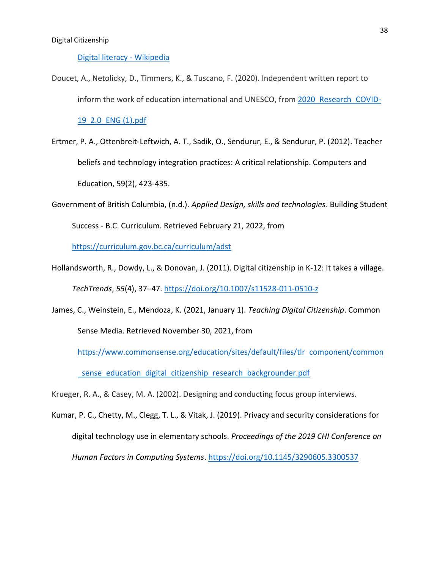#### Digital literacy - Wikipedia

Doucet, A., Netolicky, D., Timmers, K., & Tuscano, F. (2020). Independent written report to inform the work of education international and UNESCO, from 2020 Research COVID-

19 2.0 ENG (1).pdf

- Ertmer, P. A., Ottenbreit-Leftwich, A. T., Sadik, O., Sendurur, E., & Sendurur, P. (2012). Teacher beliefs and technology integration practices: A critical relationship. Computers and Education, 59(2), 423-435.
- Government of British Columbia, (n.d.). *Applied Design, skills and technologies*. Building Student Success - B.C. Curriculum. Retrieved February 21, 2022, from

https://curriculum.gov.bc.ca/curriculum/adst

- Hollandsworth, R., Dowdy, L., & Donovan, J. (2011). Digital citizenship in K-12: It takes a village. *TechTrends*, *55*(4), 37–47. https://doi.org/10.1007/s11528-011-0510-z
- James, C., Weinstein, E., Mendoza, K. (2021, January 1). *Teaching Digital Citizenship*. Common Sense Media. Retrieved November 30, 2021, from

https://www.commonsense.org/education/sites/default/files/tlr component/common sense education digital citizenship research backgrounder.pdf

Krueger, R. A., & Casey, M. A. (2002). Designing and conducting focus group interviews.

Kumar, P. C., Chetty, M., Clegg, T. L., & Vitak, J. (2019). Privacy and security considerations for digital technology use in elementary schools. *Proceedings of the 2019 CHI Conference on Human Factors in Computing Systems*. https://doi.org/10.1145/3290605.3300537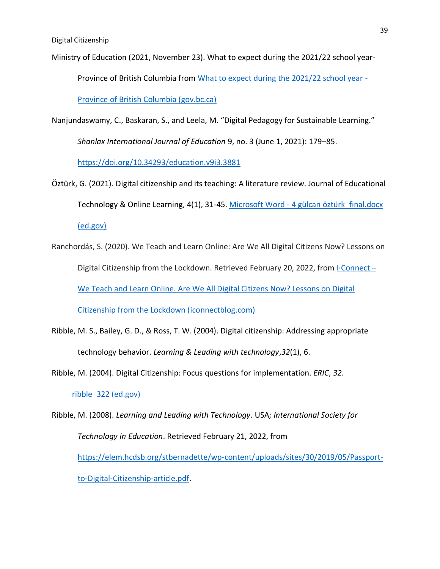Ministry of Education (2021, November 23). What to expect during the 2021/22 school year-

Province of British Columbia from What to expect during the 2021/22 school year -

Province of British Columbia (gov.bc.ca)

Nanjundaswamy, C., Baskaran, S., and Leela, M. "Digital Pedagogy for Sustainable Learning."

*Shanlax International Journal of Education* 9, no. 3 (June 1, 2021): 179–85.

https://doi.org/10.34293/education.v9i3.3881

- Öztürk, G. (2021). Digital citizenship and its teaching: A literature review. Journal of Educational Technology & Online Learning, 4(1), 31-45. Microsoft Word - 4 gülcan öztürk final.docx (ed.gov)
- Ranchordás, S. (2020). We Teach and Learn Online: Are We All Digital Citizens Now? Lessons on Digital Citizenship from the Lockdown. Retrieved February 20, 2022, from I·Connect – We Teach and Learn Online. Are We All Digital Citizens Now? Lessons on Digital Citizenship from the Lockdown (iconnectblog.com)
- Ribble, M. S., Bailey, G. D., & Ross, T. W. (2004). Digital citizenship: Addressing appropriate technology behavior. *Learning & Leading with technology*,*32*(1), 6.

Ribble, M. (2004). Digital Citizenship: Focus questions for implementation. *ERIC*, *32*.

ribble 322 (ed.gov)

Ribble, M. (2008). *Learning and Leading with Technology*. USA*; International Society for Technology in Education*. Retrieved February 21, 2022, from https://elem.hcdsb.org/stbernadette/wp-content/uploads/sites/30/2019/05/Passportto-Digital-Citizenship-article.pdf.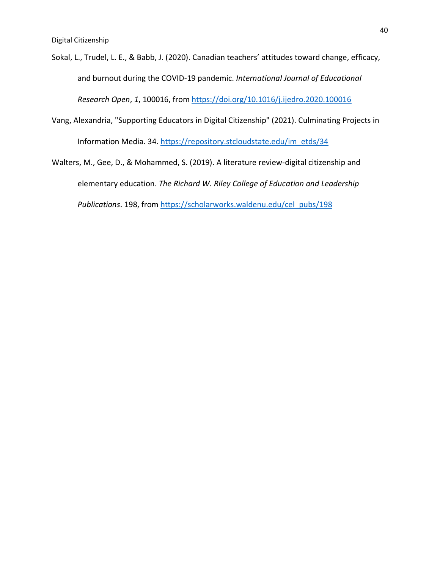Sokal, L., Trudel, L. E., & Babb, J. (2020). Canadian teachers' attitudes toward change, efficacy, and burnout during the COVID-19 pandemic. *International Journal of Educational Research Open*, *1*, 100016, from https://doi.org/10.1016/j.ijedro.2020.100016

- Vang, Alexandria, "Supporting Educators in Digital Citizenship" (2021). Culminating Projects in Information Media. 34. https://repository.stcloudstate.edu/im etds/34
- Walters, M., Gee, D., & Mohammed, S. (2019). A literature review-digital citizenship and elementary education. *The Richard W. Riley College of Education and Leadership Publications*. 198, from https://scholarworks.waldenu.edu/cel pubs/198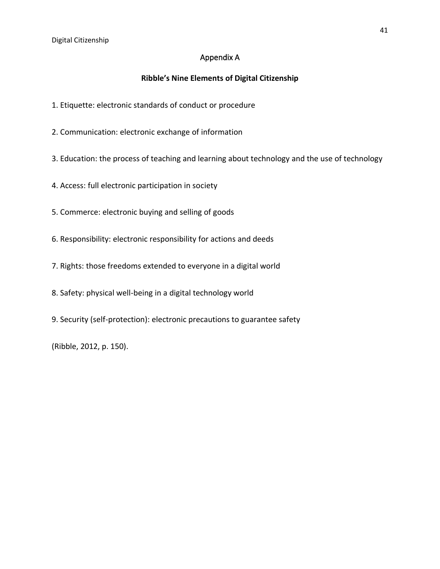# Appendix A

# **Ribble's Nine Elements of Digital Citizenship**

- 1. Etiquette: electronic standards of conduct or procedure
- 2. Communication: electronic exchange of information
- 3. Education: the process of teaching and learning about technology and the use of technology
- 4. Access: full electronic participation in society
- 5. Commerce: electronic buying and selling of goods
- 6. Responsibility: electronic responsibility for actions and deeds
- 7. Rights: those freedoms extended to everyone in a digital world
- 8. Safety: physical well-being in a digital technology world
- 9. Security (self-protection): electronic precautions to guarantee safety

(Ribble, 2012, p. 150).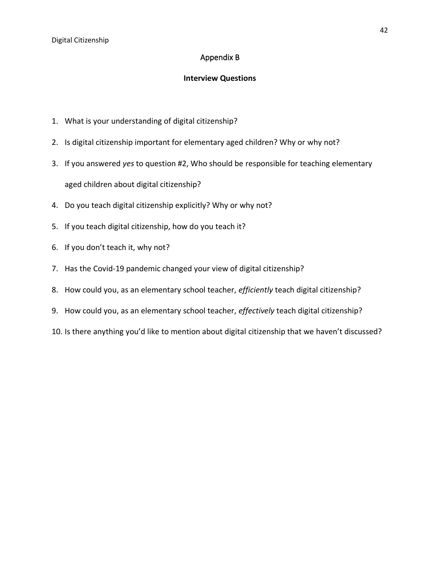# Appendix B

# **Interview Questions**

- 1. What is your understanding of digital citizenship?
- 2. Is digital citizenship important for elementary aged children? Why or why not?
- 3. If you answered *yes* to question #2, Who should be responsible for teaching elementary aged children about digital citizenship?
- 4. Do you teach digital citizenship explicitly? Why or why not?
- 5. If you teach digital citizenship, how do you teach it?
- 6. If you don't teach it, why not?
- 7. Has the Covid-19 pandemic changed your view of digital citizenship?
- 8. How could you, as an elementary school teacher, *efficiently* teach digital citizenship?
- 9. How could you, as an elementary school teacher, *effectively* teach digital citizenship?
- 10. Is there anything you'd like to mention about digital citizenship that we haven't discussed?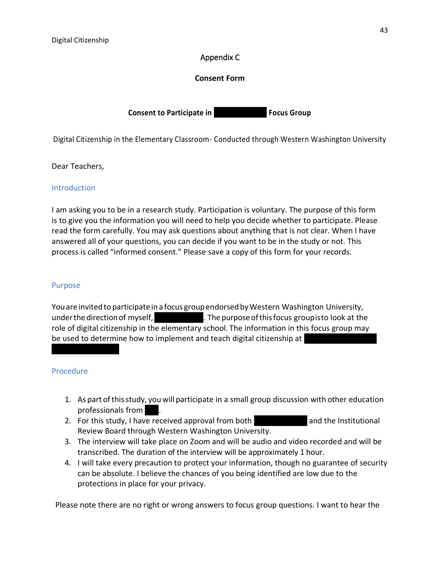# Appendix C

# **Consent Form**

**Consent to Participate in Focus Group** 

Digital Citizenship in the Elementary Classroom- Conducted through Western Washington University

Dear Teachers,

### **Introduction**

I am asking you to be in a research study. Participation is voluntary. The purpose of this form is to give you the information you will need to help you decide whether to participate. Please read the form carefully. You may ask questions about anything that is not clear. When I have answered all of your questions, you can decide if you want to be in the study or not. This process is called "informed consent." Please save a copy of this form for your records.

#### Purpose

You are invited to participate in a focus group endorsed by Western Washington University, under the direction of myself, **the contract of the purpose** of this focus groupisto look at the role of digital citizenship in the elementary school. The information in this focus group may be used to determine how to implement and teach digital citizenship at

#### Procedure

- 1. As part ofthisstudy, you will participate in a small group discussion with other education professionals from .
- 2. For this study, I have received approval from both and the Institutional Review Board through Western Washington University.
- 3. The interview will take place on Zoom and will be audio and video recorded and will be transcribed. The duration of the interview will be approximately 1 hour.
- 4. I will take every precaution to protect your information, though no guarantee of security can be absolute. I believe the chances of you being identified are low due to the protections in place for your privacy.

Please note there are no right or wrong answers to focus group questions. I want to hear the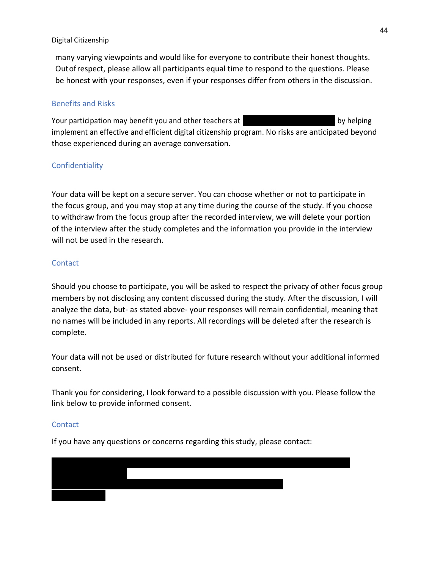many varying viewpoints and would like for everyone to contribute their honest thoughts. Outofrespect, please allow all participants equal time to respond to the questions. Please be honest with your responses, even if your responses differ from others in the discussion.

# Benefits and Risks

Your participation may benefit you and other teachers at by helping by helping implement an effective and efficient digital citizenship program. No risks are anticipated beyond those experienced during an average conversation.

# Confidentiality

Your data will be kept on a secure server. You can choose whether or not to participate in the focus group, and you may stop at any time during the course of the study. If you choose to withdraw from the focus group after the recorded interview, we will delete your portion of the interview after the study completes and the information you provide in the interview will not be used in the research.

# **Contact**

Should you choose to participate, you will be asked to respect the privacy of other focus group members by not disclosing any content discussed during the study. After the discussion, I will analyze the data, but- as stated above- your responses will remain confidential, meaning that no names will be included in any reports. All recordings will be deleted after the research is complete.

Your data will not be used or distributed for future research without your additional informed consent.

Thank you for considering, I look forward to a possible discussion with you. Please follow the link below to provide informed consent.

#### Contact

If you have any questions or concerns regarding this study, please contact:

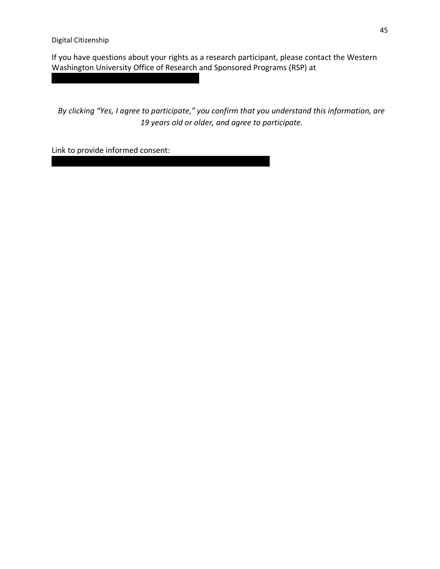If you have questions about your rights as a research participant, please contact the Western Washington University Office of Research and Sponsored Programs (RSP) at

*By clicking "Yes, I agree to participate," you confirm that you understand this information, are 19 years old or older, and agree to participate.*

Link to provide informed consent: